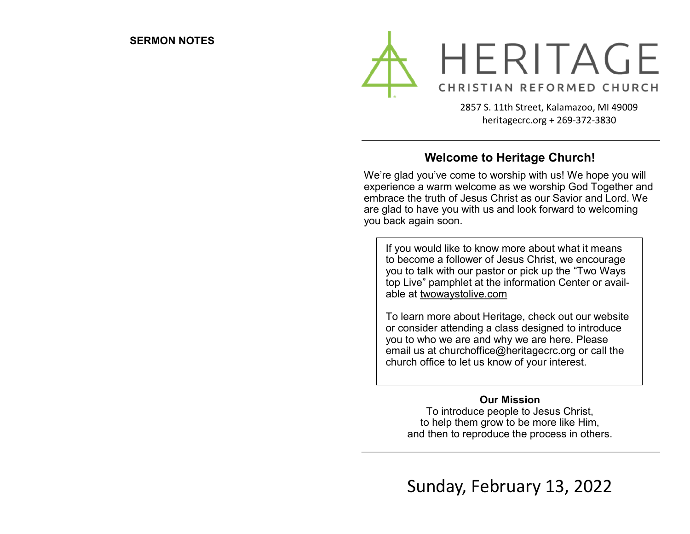

2857 S. 11th Street, Kalamazoo, MI 49009 heritagecrc.org + 269-372-3830

## **Welcome to Heritage Church!**

We're glad you've come to worship with us! We hope you will experience a warm welcome as we worship God Together and embrace the truth of Jesus Christ as our Savior and Lord. We are glad to have you with us and look forward to welcoming you back again soon.

If you would like to know more about what it means to become a follower of Jesus Christ, we encourage you to talk with our pastor or pick up the "Two Ways top Live" pamphlet at the information Center or available at twowaystolive.com

To learn more about Heritage, check out our website or consider attending a class designed to introduce you to who we are and why we are here. Please email us at churchoffice@heritagecrc.org or call the church office to let us know of your interest.

### **Our Mission**

To introduce people to Jesus Christ, to help them grow to be more like Him, and then to reproduce the process in others.

Sunday, February 13, 2022